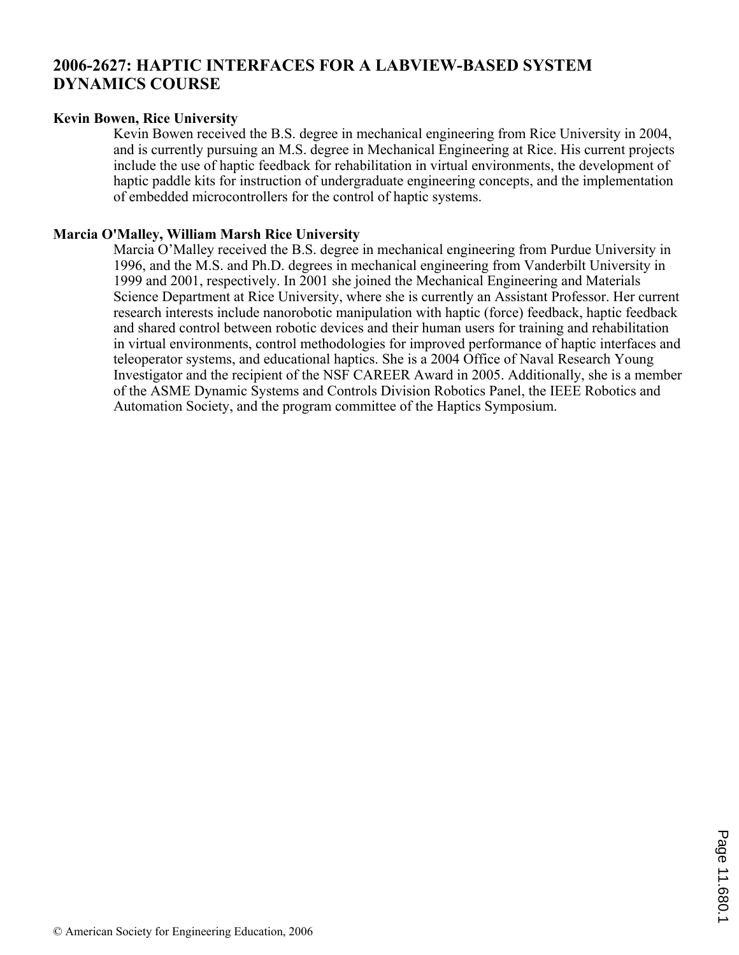# **2006-2627: HAPTIC INTERFACES FOR A LABVIEW-BASED SYSTEM DYNAMICS COURSE**

### **Kevin Bowen, Rice University**

Kevin Bowen received the B.S. degree in mechanical engineering from Rice University in 2004, and is currently pursuing an M.S. degree in Mechanical Engineering at Rice. His current projects include the use of haptic feedback for rehabilitation in virtual environments, the development of haptic paddle kits for instruction of undergraduate engineering concepts, and the implementation of embedded microcontrollers for the control of haptic systems.

### **Marcia O'Malley, William Marsh Rice University**

Marcia O'Malley received the B.S. degree in mechanical engineering from Purdue University in 1996, and the M.S. and Ph.D. degrees in mechanical engineering from Vanderbilt University in 1999 and 2001, respectively. In 2001 she joined the Mechanical Engineering and Materials Science Department at Rice University, where she is currently an Assistant Professor. Her current research interests include nanorobotic manipulation with haptic (force) feedback, haptic feedback and shared control between robotic devices and their human users for training and rehabilitation in virtual environments, control methodologies for improved performance of haptic interfaces and teleoperator systems, and educational haptics. She is a 2004 Office of Naval Research Young Investigator and the recipient of the NSF CAREER Award in 2005. Additionally, she is a member of the ASME Dynamic Systems and Controls Division Robotics Panel, the IEEE Robotics and Automation Society, and the program committee of the Haptics Symposium.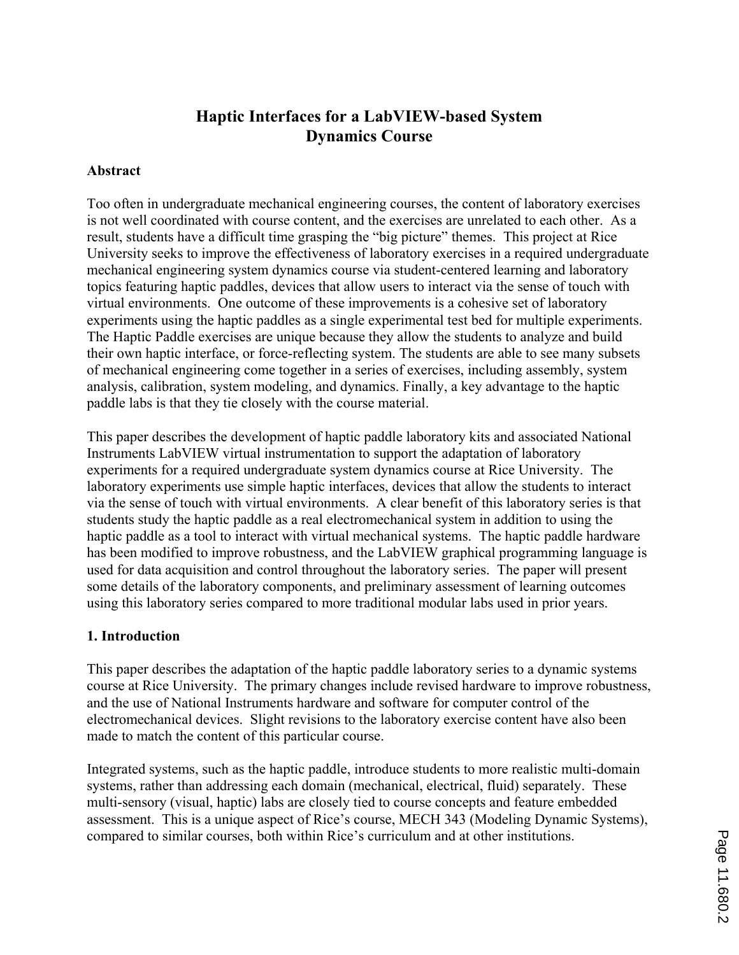# **Haptic Interfaces for a LabVIEW-based System Dynamics Course**

## **Abstract**

Too often in undergraduate mechanical engineering courses, the content of laboratory exercises is not well coordinated with course content, and the exercises are unrelated to each other. As a result, students have a difficult time grasping the "big picture" themes. This project at Rice University seeks to improve the effectiveness of laboratory exercises in a required undergraduate mechanical engineering system dynamics course via student-centered learning and laboratory topics featuring haptic paddles, devices that allow users to interact via the sense of touch with virtual environments. One outcome of these improvements is a cohesive set of laboratory experiments using the haptic paddles as a single experimental test bed for multiple experiments. The Haptic Paddle exercises are unique because they allow the students to analyze and build their own haptic interface, or force-reflecting system. The students are able to see many subsets of mechanical engineering come together in a series of exercises, including assembly, system analysis, calibration, system modeling, and dynamics. Finally, a key advantage to the haptic paddle labs is that they tie closely with the course material.

This paper describes the development of haptic paddle laboratory kits and associated National Instruments LabVIEW virtual instrumentation to support the adaptation of laboratory experiments for a required undergraduate system dynamics course at Rice University. The laboratory experiments use simple haptic interfaces, devices that allow the students to interact via the sense of touch with virtual environments. A clear benefit of this laboratory series is that students study the haptic paddle as a real electromechanical system in addition to using the haptic paddle as a tool to interact with virtual mechanical systems. The haptic paddle hardware has been modified to improve robustness, and the LabVIEW graphical programming language is used for data acquisition and control throughout the laboratory series. The paper will present some details of the laboratory components, and preliminary assessment of learning outcomes using this laboratory series compared to more traditional modular labs used in prior years.

## **1. Introduction**

This paper describes the adaptation of the haptic paddle laboratory series to a dynamic systems course at Rice University. The primary changes include revised hardware to improve robustness, and the use of National Instruments hardware and software for computer control of the electromechanical devices. Slight revisions to the laboratory exercise content have also been made to match the content of this particular course.

Integrated systems, such as the haptic paddle, introduce students to more realistic multi-domain systems, rather than addressing each domain (mechanical, electrical, fluid) separately. These multi-sensory (visual, haptic) labs are closely tied to course concepts and feature embedded assessment. This is a unique aspect of Rice's course, MECH 343 (Modeling Dynamic Systems), compared to similar courses, both within Rice's curriculum and at other institutions.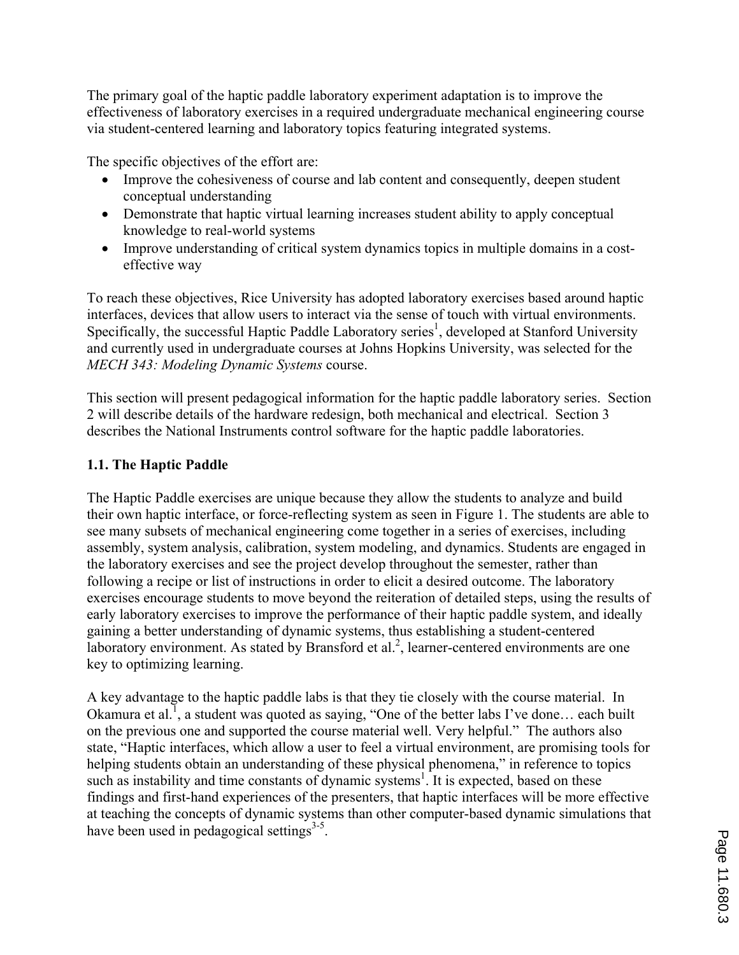The primary goal of the haptic paddle laboratory experiment adaptation is to improve the effectiveness of laboratory exercises in a required undergraduate mechanical engineering course via student-centered learning and laboratory topics featuring integrated systems.

The specific objectives of the effort are:

- ' Improve the cohesiveness of course and lab content and consequently, deepen student conceptual understanding
- Demonstrate that haptic virtual learning increases student ability to apply conceptual knowledge to real-world systems
- ' Improve understanding of critical system dynamics topics in multiple domains in a costeffective way

To reach these objectives, Rice University has adopted laboratory exercises based around haptic interfaces, devices that allow users to interact via the sense of touch with virtual environments. Specifically, the successful Haptic Paddle Laboratory series<sup>1</sup>, developed at Stanford University and currently used in undergraduate courses at Johns Hopkins University, was selected for the *MECH 343: Modeling Dynamic Systems* course.

This section will present pedagogical information for the haptic paddle laboratory series. Section 2 will describe details of the hardware redesign, both mechanical and electrical. Section 3 describes the National Instruments control software for the haptic paddle laboratories.

# **1.1. The Haptic Paddle**

The Haptic Paddle exercises are unique because they allow the students to analyze and build their own haptic interface, or force-reflecting system as seen in Figure 1. The students are able to see many subsets of mechanical engineering come together in a series of exercises, including assembly, system analysis, calibration, system modeling, and dynamics. Students are engaged in the laboratory exercises and see the project develop throughout the semester, rather than following a recipe or list of instructions in order to elicit a desired outcome. The laboratory exercises encourage students to move beyond the reiteration of detailed steps, using the results of early laboratory exercises to improve the performance of their haptic paddle system, and ideally gaining a better understanding of dynamic systems, thus establishing a student-centered laboratory environment. As stated by Bransford et al.<sup>2</sup>, learner-centered environments are one key to optimizing learning.

A key advantage to the haptic paddle labs is that they tie closely with the course material. In Okamura et al.<sup>1</sup>, a student was quoted as saying, "One of the better labs I've done... each built on the previous one and supported the course material well. Very helpful." The authors also state, "Haptic interfaces, which allow a user to feel a virtual environment, are promising tools for helping students obtain an understanding of these physical phenomena," in reference to topics such as instability and time constants of dynamic systems<sup>1</sup>. It is expected, based on these findings and first-hand experiences of the presenters, that haptic interfaces will be more effective at teaching the concepts of dynamic systems than other computer-based dynamic simulations that have been used in pedagogical settings<sup>3-5</sup>.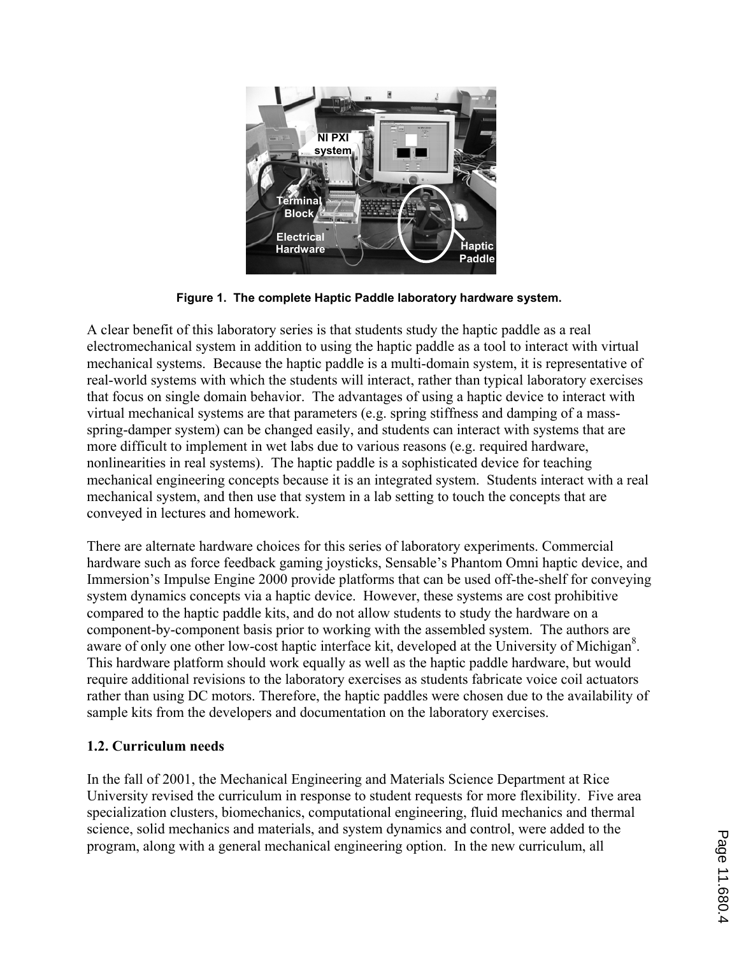

**Figure 1. The complete Haptic Paddle laboratory hardware system.** 

A clear benefit of this laboratory series is that students study the haptic paddle as a real electromechanical system in addition to using the haptic paddle as a tool to interact with virtual mechanical systems. Because the haptic paddle is a multi-domain system, it is representative of real-world systems with which the students will interact, rather than typical laboratory exercises that focus on single domain behavior. The advantages of using a haptic device to interact with virtual mechanical systems are that parameters (e.g. spring stiffness and damping of a massspring-damper system) can be changed easily, and students can interact with systems that are more difficult to implement in wet labs due to various reasons (e.g. required hardware, nonlinearities in real systems). The haptic paddle is a sophisticated device for teaching mechanical engineering concepts because it is an integrated system. Students interact with a real mechanical system, and then use that system in a lab setting to touch the concepts that are conveyed in lectures and homework.

There are alternate hardware choices for this series of laboratory experiments. Commercial hardware such as force feedback gaming joysticks, Sensable's Phantom Omni haptic device, and Immersion's Impulse Engine 2000 provide platforms that can be used off-the-shelf for conveying system dynamics concepts via a haptic device. However, these systems are cost prohibitive compared to the haptic paddle kits, and do not allow students to study the hardware on a component-by-component basis prior to working with the assembled system. The authors are aware of only one other low-cost haptic interface kit, developed at the University of Michigan<sup>8</sup>. This hardware platform should work equally as well as the haptic paddle hardware, but would require additional revisions to the laboratory exercises as students fabricate voice coil actuators rather than using DC motors. Therefore, the haptic paddles were chosen due to the availability of sample kits from the developers and documentation on the laboratory exercises.

# **1.2. Curriculum needs**

In the fall of 2001, the Mechanical Engineering and Materials Science Department at Rice University revised the curriculum in response to student requests for more flexibility. Five area specialization clusters, biomechanics, computational engineering, fluid mechanics and thermal science, solid mechanics and materials, and system dynamics and control, were added to the program, along with a general mechanical engineering option. In the new curriculum, all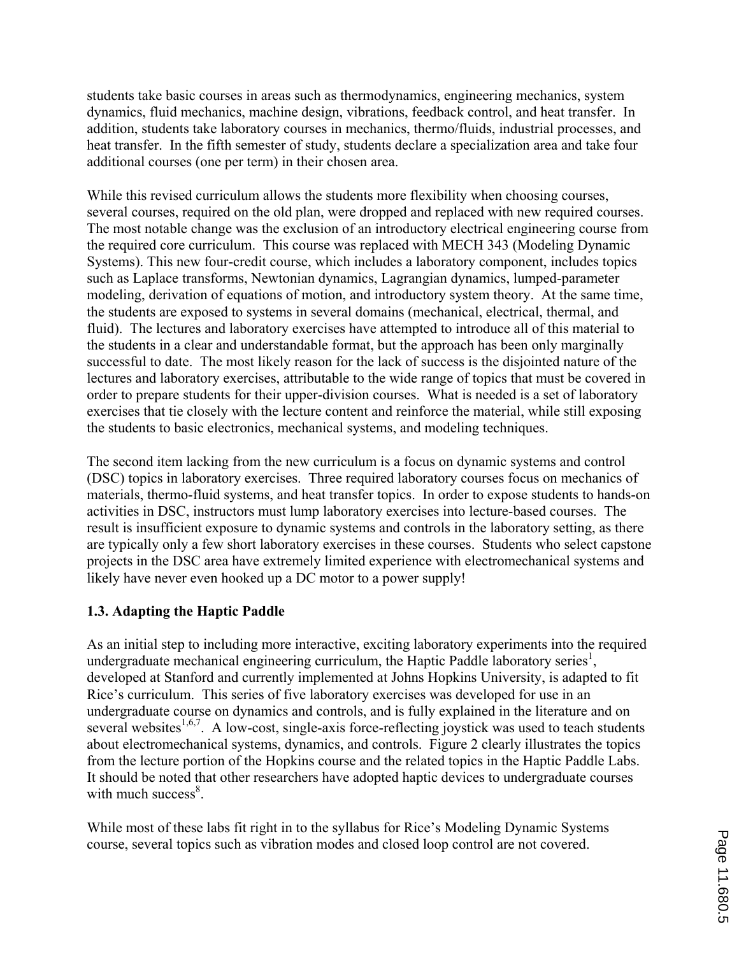students take basic courses in areas such as thermodynamics, engineering mechanics, system dynamics, fluid mechanics, machine design, vibrations, feedback control, and heat transfer. In addition, students take laboratory courses in mechanics, thermo/fluids, industrial processes, and heat transfer. In the fifth semester of study, students declare a specialization area and take four additional courses (one per term) in their chosen area.

While this revised curriculum allows the students more flexibility when choosing courses, several courses, required on the old plan, were dropped and replaced with new required courses. The most notable change was the exclusion of an introductory electrical engineering course from the required core curriculum. This course was replaced with MECH 343 (Modeling Dynamic Systems). This new four-credit course, which includes a laboratory component, includes topics such as Laplace transforms, Newtonian dynamics, Lagrangian dynamics, lumped-parameter modeling, derivation of equations of motion, and introductory system theory. At the same time, the students are exposed to systems in several domains (mechanical, electrical, thermal, and fluid). The lectures and laboratory exercises have attempted to introduce all of this material to the students in a clear and understandable format, but the approach has been only marginally successful to date. The most likely reason for the lack of success is the disjointed nature of the lectures and laboratory exercises, attributable to the wide range of topics that must be covered in order to prepare students for their upper-division courses. What is needed is a set of laboratory exercises that tie closely with the lecture content and reinforce the material, while still exposing the students to basic electronics, mechanical systems, and modeling techniques.

The second item lacking from the new curriculum is a focus on dynamic systems and control (DSC) topics in laboratory exercises. Three required laboratory courses focus on mechanics of materials, thermo-fluid systems, and heat transfer topics. In order to expose students to hands-on activities in DSC, instructors must lump laboratory exercises into lecture-based courses. The result is insufficient exposure to dynamic systems and controls in the laboratory setting, as there are typically only a few short laboratory exercises in these courses. Students who select capstone projects in the DSC area have extremely limited experience with electromechanical systems and likely have never even hooked up a DC motor to a power supply!

# **1.3. Adapting the Haptic Paddle**

As an initial step to including more interactive, exciting laboratory experiments into the required undergraduate mechanical engineering curriculum, the Haptic Paddle laboratory series<sup>1</sup>, developed at Stanford and currently implemented at Johns Hopkins University, is adapted to fit Rice's curriculum. This series of five laboratory exercises was developed for use in an undergraduate course on dynamics and controls, and is fully explained in the literature and on several websites $1,6,7$ . A low-cost, single-axis force-reflecting joystick was used to teach students about electromechanical systems, dynamics, and controls. Figure 2 clearly illustrates the topics from the lecture portion of the Hopkins course and the related topics in the Haptic Paddle Labs. It should be noted that other researchers have adopted haptic devices to undergraduate courses with much success $\delta$ .

While most of these labs fit right in to the syllabus for Rice's Modeling Dynamic Systems course, several topics such as vibration modes and closed loop control are not covered.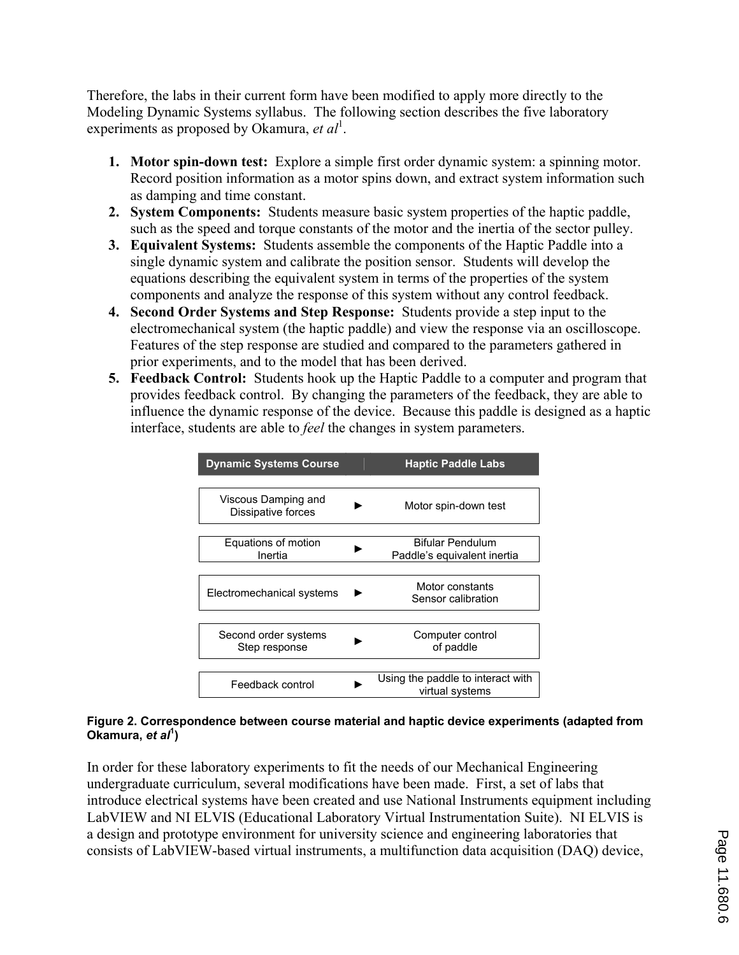Therefore, the labs in their current form have been modified to apply more directly to the Modeling Dynamic Systems syllabus. The following section describes the five laboratory experiments as proposed by Okamura, et al<sup>1</sup>.

- **1. Motor spin-down test:** Explore a simple first order dynamic system: a spinning motor. Record position information as a motor spins down, and extract system information such as damping and time constant.
- **2. System Components:** Students measure basic system properties of the haptic paddle, such as the speed and torque constants of the motor and the inertia of the sector pulley.
- **3. Equivalent Systems:** Students assemble the components of the Haptic Paddle into a single dynamic system and calibrate the position sensor. Students will develop the equations describing the equivalent system in terms of the properties of the system components and analyze the response of this system without any control feedback.
- **4. Second Order Systems and Step Response:** Students provide a step input to the electromechanical system (the haptic paddle) and view the response via an oscilloscope. Features of the step response are studied and compared to the parameters gathered in prior experiments, and to the model that has been derived.
- **5. Feedback Control:** Students hook up the Haptic Paddle to a computer and program that provides feedback control. By changing the parameters of the feedback, they are able to influence the dynamic response of the device. Because this paddle is designed as a haptic interface, students are able to *feel* the changes in system parameters.

| <b>Dynamic Systems Course</b>             | <b>Haptic Paddle Labs</b>                            |
|-------------------------------------------|------------------------------------------------------|
|                                           |                                                      |
| Viscous Damping and<br>Dissipative forces | Motor spin-down test                                 |
|                                           |                                                      |
| Equations of motion                       | Bifular Pendulum                                     |
| Inertia                                   | Paddle's equivalent inertia                          |
|                                           |                                                      |
|                                           | Motor constants                                      |
| Electromechanical systems                 | Sensor calibration                                   |
|                                           |                                                      |
| Second order systems                      | Computer control                                     |
| Step response                             | of paddle                                            |
|                                           |                                                      |
|                                           |                                                      |
| Feedback control                          | Using the paddle to interact with<br>virtual systems |

#### **Figure 2. Correspondence between course material and haptic device experiments (adapted from Okamura,** *et al***<sup>1</sup> )**

In order for these laboratory experiments to fit the needs of our Mechanical Engineering undergraduate curriculum, several modifications have been made. First, a set of labs that introduce electrical systems have been created and use National Instruments equipment including LabVIEW and NI ELVIS (Educational Laboratory Virtual Instrumentation Suite). NI ELVIS is a design and prototype environment for university science and engineering laboratories that consists of LabVIEW-based virtual instruments, a multifunction data acquisition (DAQ) device,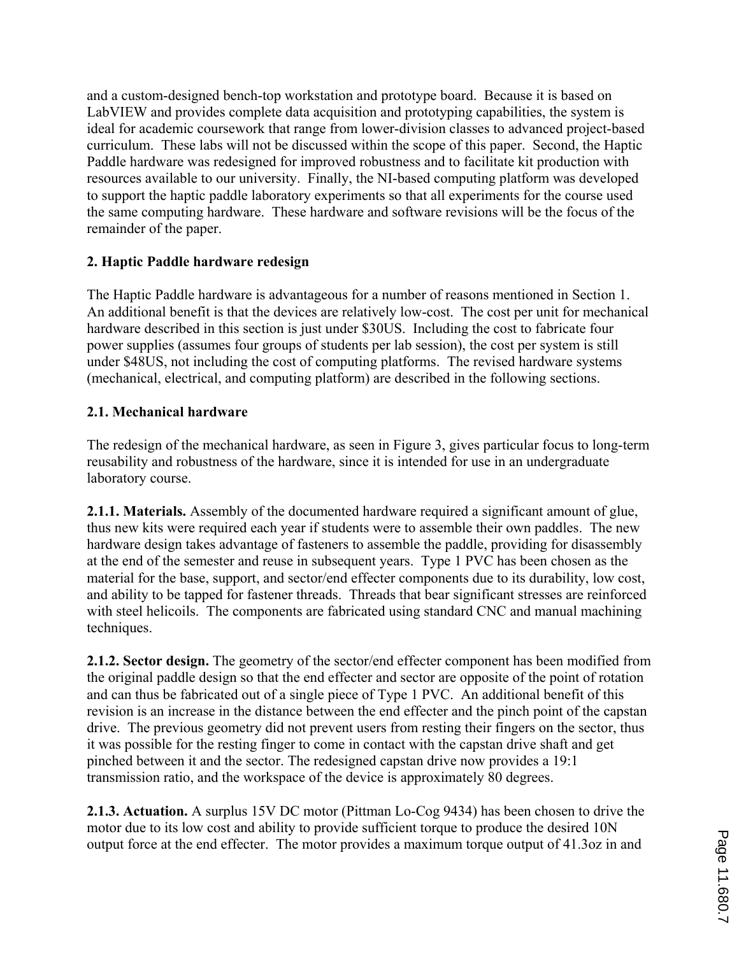and a custom-designed bench-top workstation and prototype board. Because it is based on LabVIEW and provides complete data acquisition and prototyping capabilities, the system is ideal for academic coursework that range from lower-division classes to advanced project-based curriculum. These labs will not be discussed within the scope of this paper. Second, the Haptic Paddle hardware was redesigned for improved robustness and to facilitate kit production with resources available to our university. Finally, the NI-based computing platform was developed to support the haptic paddle laboratory experiments so that all experiments for the course used the same computing hardware. These hardware and software revisions will be the focus of the remainder of the paper.

# **2. Haptic Paddle hardware redesign**

The Haptic Paddle hardware is advantageous for a number of reasons mentioned in Section 1. An additional benefit is that the devices are relatively low-cost. The cost per unit for mechanical hardware described in this section is just under \$30US. Including the cost to fabricate four power supplies (assumes four groups of students per lab session), the cost per system is still under \$48US, not including the cost of computing platforms. The revised hardware systems (mechanical, electrical, and computing platform) are described in the following sections.

# **2.1. Mechanical hardware**

The redesign of the mechanical hardware, as seen in Figure 3, gives particular focus to long-term reusability and robustness of the hardware, since it is intended for use in an undergraduate laboratory course.

**2.1.1. Materials.** Assembly of the documented hardware required a significant amount of glue, thus new kits were required each year if students were to assemble their own paddles. The new hardware design takes advantage of fasteners to assemble the paddle, providing for disassembly at the end of the semester and reuse in subsequent years. Type 1 PVC has been chosen as the material for the base, support, and sector/end effecter components due to its durability, low cost, and ability to be tapped for fastener threads. Threads that bear significant stresses are reinforced with steel helicoils. The components are fabricated using standard CNC and manual machining techniques.

**2.1.2. Sector design.** The geometry of the sector/end effecter component has been modified from the original paddle design so that the end effecter and sector are opposite of the point of rotation and can thus be fabricated out of a single piece of Type 1 PVC. An additional benefit of this revision is an increase in the distance between the end effecter and the pinch point of the capstan drive. The previous geometry did not prevent users from resting their fingers on the sector, thus it was possible for the resting finger to come in contact with the capstan drive shaft and get pinched between it and the sector. The redesigned capstan drive now provides a 19:1 transmission ratio, and the workspace of the device is approximately 80 degrees.

**2.1.3. Actuation.** A surplus 15V DC motor (Pittman Lo-Cog 9434) has been chosen to drive the motor due to its low cost and ability to provide sufficient torque to produce the desired 10N output force at the end effecter. The motor provides a maximum torque output of 41.3oz in and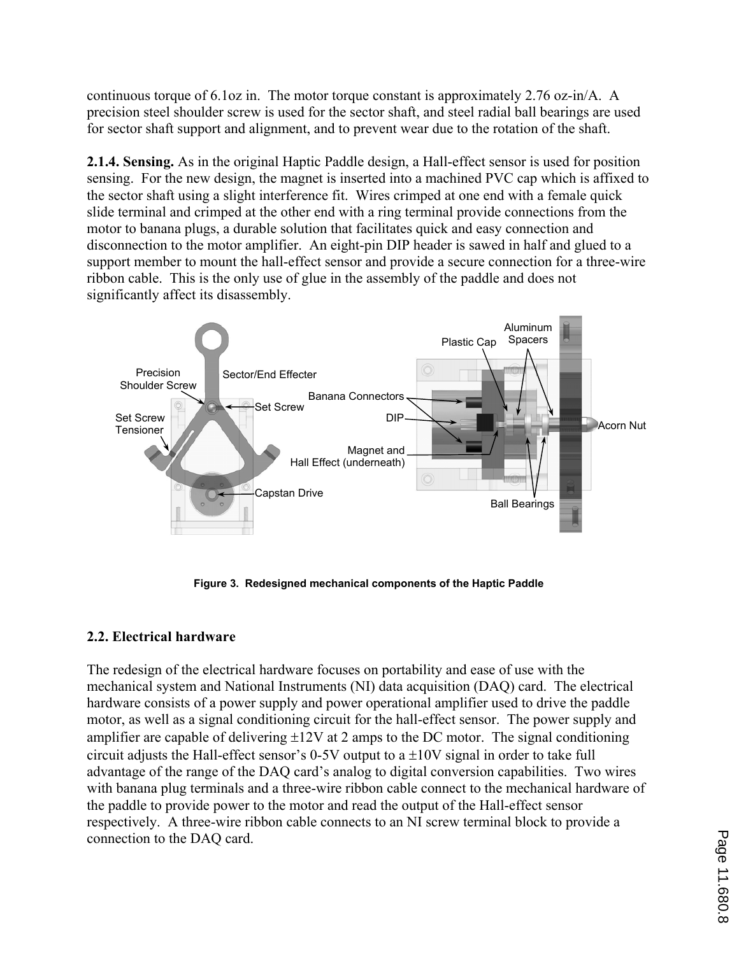continuous torque of 6.1oz in. The motor torque constant is approximately 2.76 oz-in/A. A precision steel shoulder screw is used for the sector shaft, and steel radial ball bearings are used for sector shaft support and alignment, and to prevent wear due to the rotation of the shaft.

**2.1.4. Sensing.** As in the original Haptic Paddle design, a Hall-effect sensor is used for position sensing. For the new design, the magnet is inserted into a machined PVC cap which is affixed to the sector shaft using a slight interference fit. Wires crimped at one end with a female quick slide terminal and crimped at the other end with a ring terminal provide connections from the motor to banana plugs, a durable solution that facilitates quick and easy connection and disconnection to the motor amplifier. An eight-pin DIP header is sawed in half and glued to a support member to mount the hall-effect sensor and provide a secure connection for a three-wire ribbon cable. This is the only use of glue in the assembly of the paddle and does not significantly affect its disassembly.



**Figure 3. Redesigned mechanical components of the Haptic Paddle** 

# **2.2. Electrical hardware**

The redesign of the electrical hardware focuses on portability and ease of use with the mechanical system and National Instruments (NI) data acquisition (DAQ) card. The electrical hardware consists of a power supply and power operational amplifier used to drive the paddle motor, as well as a signal conditioning circuit for the hall-effect sensor. The power supply and amplifier are capable of delivering  $\pm 12V$  at 2 amps to the DC motor. The signal conditioning circuit adjusts the Hall-effect sensor's 0-5V output to a  $\pm 10V$  signal in order to take full advantage of the range of the DAQ card's analog to digital conversion capabilities. Two wires with banana plug terminals and a three-wire ribbon cable connect to the mechanical hardware of the paddle to provide power to the motor and read the output of the Hall-effect sensor respectively. A three-wire ribbon cable connects to an NI screw terminal block to provide a connection to the DAQ card.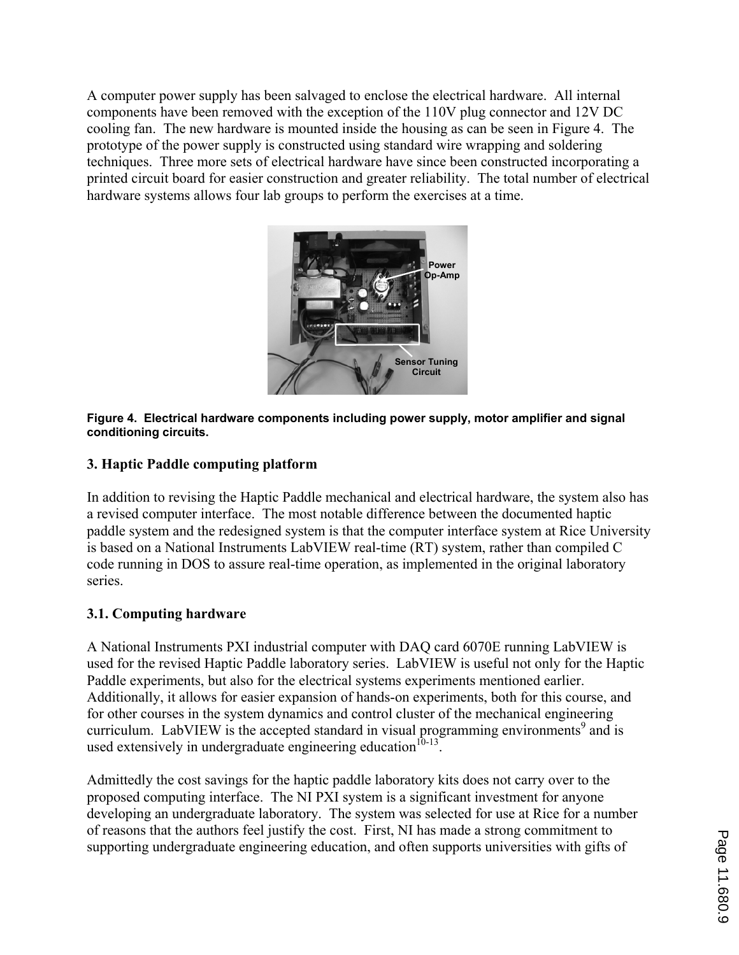A computer power supply has been salvaged to enclose the electrical hardware. All internal components have been removed with the exception of the 110V plug connector and 12V DC cooling fan. The new hardware is mounted inside the housing as can be seen in Figure 4. The prototype of the power supply is constructed using standard wire wrapping and soldering techniques. Three more sets of electrical hardware have since been constructed incorporating a printed circuit board for easier construction and greater reliability. The total number of electrical hardware systems allows four lab groups to perform the exercises at a time.



#### **Figure 4. Electrical hardware components including power supply, motor amplifier and signal conditioning circuits.**

## **3. Haptic Paddle computing platform**

In addition to revising the Haptic Paddle mechanical and electrical hardware, the system also has a revised computer interface. The most notable difference between the documented haptic paddle system and the redesigned system is that the computer interface system at Rice University is based on a National Instruments LabVIEW real-time (RT) system, rather than compiled C code running in DOS to assure real-time operation, as implemented in the original laboratory series.

## **3.1. Computing hardware**

A National Instruments PXI industrial computer with DAQ card 6070E running LabVIEW is used for the revised Haptic Paddle laboratory series. LabVIEW is useful not only for the Haptic Paddle experiments, but also for the electrical systems experiments mentioned earlier. Additionally, it allows for easier expansion of hands-on experiments, both for this course, and for other courses in the system dynamics and control cluster of the mechanical engineering curriculum. LabVIEW is the accepted standard in visual programming environments $9$  and is used extensively in undergraduate engineering education $10-13$ .

Admittedly the cost savings for the haptic paddle laboratory kits does not carry over to the proposed computing interface. The NI PXI system is a significant investment for anyone developing an undergraduate laboratory. The system was selected for use at Rice for a number of reasons that the authors feel justify the cost. First, NI has made a strong commitment to supporting undergraduate engineering education, and often supports universities with gifts of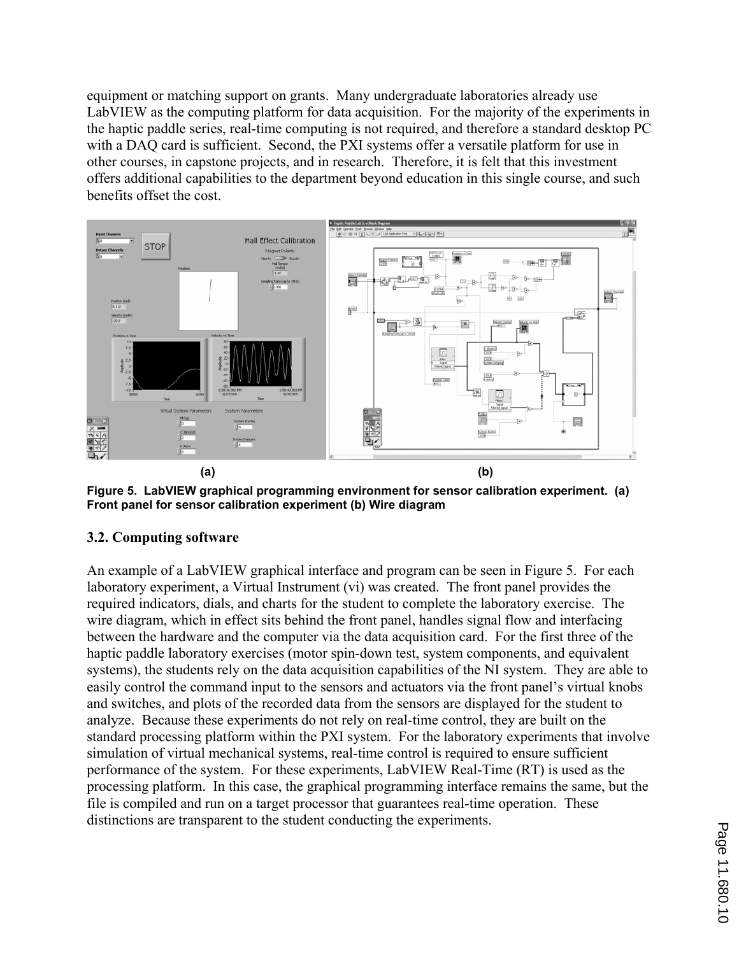equipment or matching support on grants. Many undergraduate laboratories already use LabVIEW as the computing platform for data acquisition. For the majority of the experiments in the haptic paddle series, real-time computing is not required, and therefore a standard desktop PC with a DAQ card is sufficient. Second, the PXI systems offer a versatile platform for use in other courses, in capstone projects, and in research. Therefore, it is felt that this investment offers additional capabilities to the department beyond education in this single course, and such benefits offset the cost.



**Figure 5. LabVIEW graphical programming environment for sensor calibration experiment. (a) Front panel for sensor calibration experiment (b) Wire diagram** 

## **3.2. Computing software**

An example of a LabVIEW graphical interface and program can be seen in Figure 5. For each laboratory experiment, a Virtual Instrument (vi) was created. The front panel provides the required indicators, dials, and charts for the student to complete the laboratory exercise. The wire diagram, which in effect sits behind the front panel, handles signal flow and interfacing between the hardware and the computer via the data acquisition card. For the first three of the haptic paddle laboratory exercises (motor spin-down test, system components, and equivalent systems), the students rely on the data acquisition capabilities of the NI system. They are able to easily control the command input to the sensors and actuators via the front panel's virtual knobs and switches, and plots of the recorded data from the sensors are displayed for the student to analyze. Because these experiments do not rely on real-time control, they are built on the standard processing platform within the PXI system. For the laboratory experiments that involve simulation of virtual mechanical systems, real-time control is required to ensure sufficient performance of the system. For these experiments, LabVIEW Real-Time (RT) is used as the processing platform. In this case, the graphical programming interface remains the same, but the file is compiled and run on a target processor that guarantees real-time operation. These distinctions are transparent to the student conducting the experiments.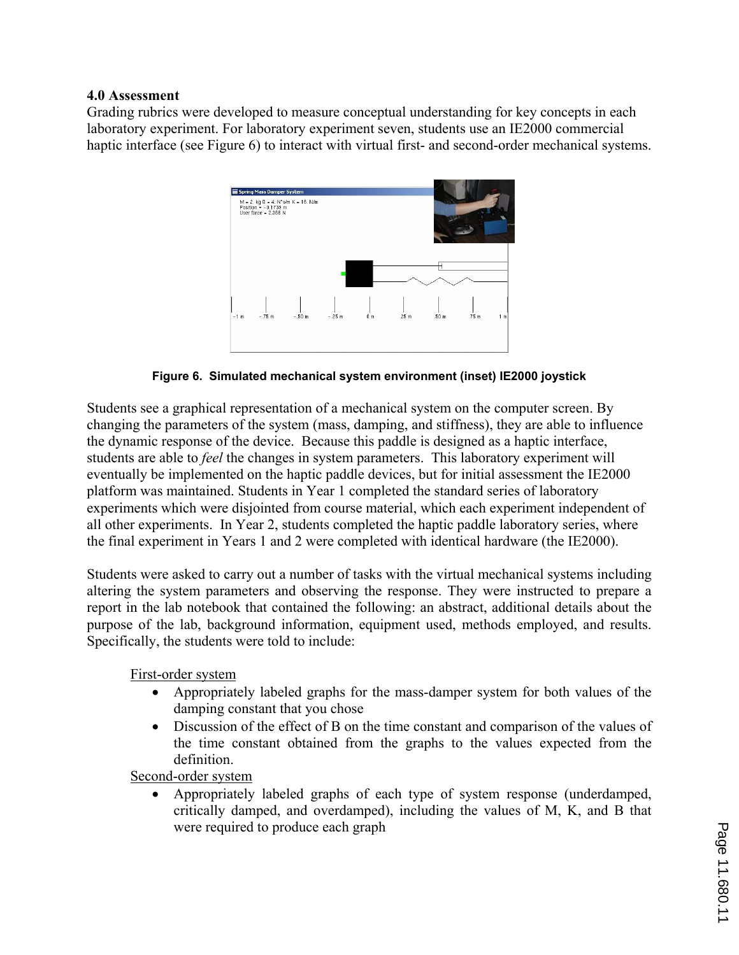### **4.0 Assessment**

Grading rubrics were developed to measure conceptual understanding for key concepts in each laboratory experiment. For laboratory experiment seven, students use an IE2000 commercial haptic interface (see Figure 6) to interact with virtual first- and second-order mechanical systems.



**Figure 6. Simulated mechanical system environment (inset) IE2000 joystick** 

Students see a graphical representation of a mechanical system on the computer screen. By changing the parameters of the system (mass, damping, and stiffness), they are able to influence the dynamic response of the device. Because this paddle is designed as a haptic interface, students are able to *feel* the changes in system parameters. This laboratory experiment will eventually be implemented on the haptic paddle devices, but for initial assessment the IE2000 platform was maintained. Students in Year 1 completed the standard series of laboratory experiments which were disjointed from course material, which each experiment independent of all other experiments. In Year 2, students completed the haptic paddle laboratory series, where the final experiment in Years 1 and 2 were completed with identical hardware (the IE2000).

Students were asked to carry out a number of tasks with the virtual mechanical systems including altering the system parameters and observing the response. They were instructed to prepare a report in the lab notebook that contained the following: an abstract, additional details about the purpose of the lab, background information, equipment used, methods employed, and results. Specifically, the students were told to include:

First-order system

- ' Appropriately labeled graphs for the mass-damper system for both values of the damping constant that you chose
- ' Discussion of the effect of B on the time constant and comparison of the values of the time constant obtained from the graphs to the values expected from the definition.

Second-order system

' Appropriately labeled graphs of each type of system response (underdamped, critically damped, and overdamped), including the values of M, K, and B that were required to produce each graph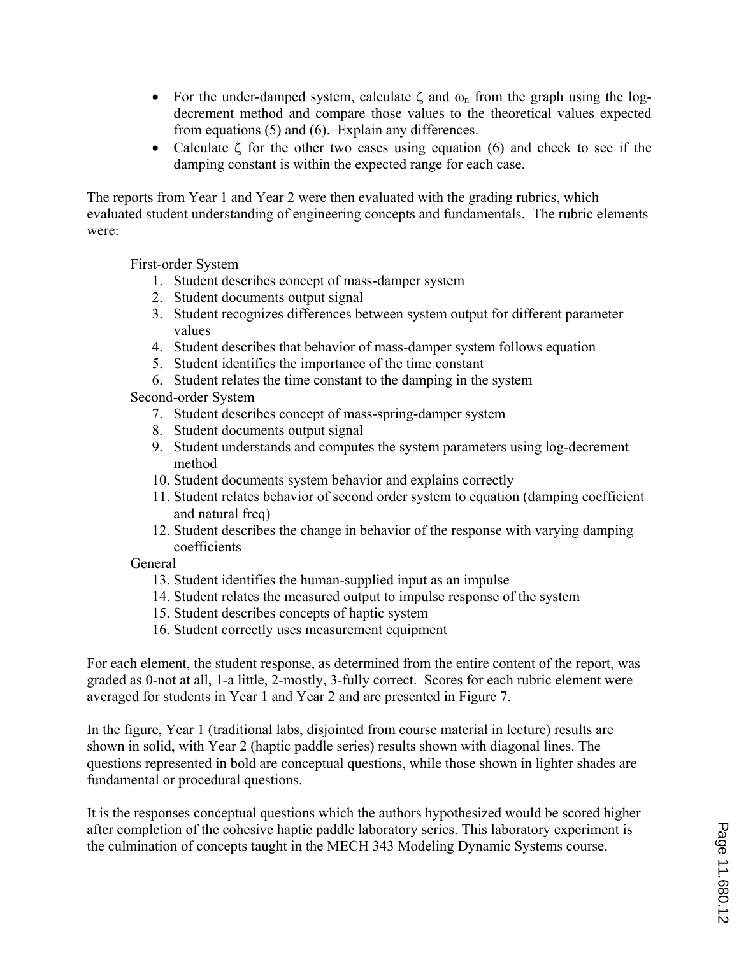- For the under-damped system, calculate  $\zeta$  and  $\omega_n$  from the graph using the logdecrement method and compare those values to the theoretical values expected from equations (5) and (6). Explain any differences.
- Calculate  $\zeta$  for the other two cases using equation (6) and check to see if the damping constant is within the expected range for each case.

The reports from Year 1 and Year 2 were then evaluated with the grading rubrics, which evaluated student understanding of engineering concepts and fundamentals. The rubric elements were:

First-order System

- 1. Student describes concept of mass-damper system
- 2. Student documents output signal
- 3. Student recognizes differences between system output for different parameter values
- 4. Student describes that behavior of mass-damper system follows equation
- 5. Student identifies the importance of the time constant
- 6. Student relates the time constant to the damping in the system

Second-order System

- 7. Student describes concept of mass-spring-damper system
- 8. Student documents output signal
- 9. Student understands and computes the system parameters using log-decrement method
- 10. Student documents system behavior and explains correctly
- 11. Student relates behavior of second order system to equation (damping coefficient and natural freq)
- 12. Student describes the change in behavior of the response with varying damping coefficients
- General
	- 13. Student identifies the human-supplied input as an impulse
	- 14. Student relates the measured output to impulse response of the system
	- 15. Student describes concepts of haptic system
	- 16. Student correctly uses measurement equipment

For each element, the student response, as determined from the entire content of the report, was graded as 0-not at all, 1-a little, 2-mostly, 3-fully correct. Scores for each rubric element were averaged for students in Year 1 and Year 2 and are presented in Figure 7.

In the figure, Year 1 (traditional labs, disjointed from course material in lecture) results are shown in solid, with Year 2 (haptic paddle series) results shown with diagonal lines. The questions represented in bold are conceptual questions, while those shown in lighter shades are fundamental or procedural questions.

It is the responses conceptual questions which the authors hypothesized would be scored higher after completion of the cohesive haptic paddle laboratory series. This laboratory experiment is the culmination of concepts taught in the MECH 343 Modeling Dynamic Systems course.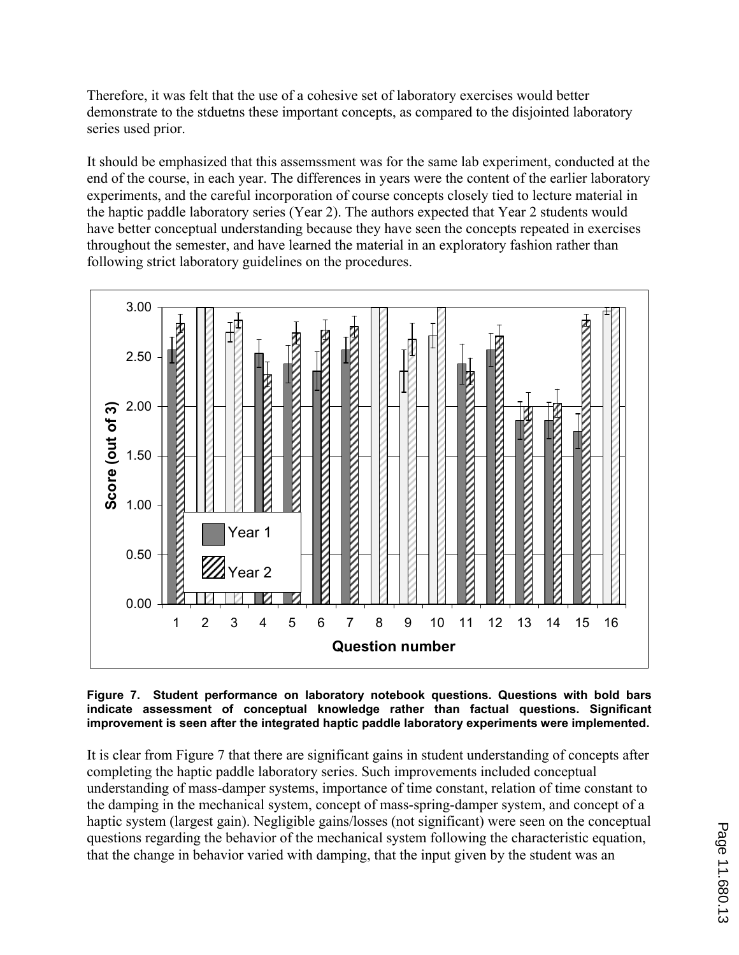Therefore, it was felt that the use of a cohesive set of laboratory exercises would better demonstrate to the stduetns these important concepts, as compared to the disjointed laboratory series used prior.

It should be emphasized that this assemssment was for the same lab experiment, conducted at the end of the course, in each year. The differences in years were the content of the earlier laboratory experiments, and the careful incorporation of course concepts closely tied to lecture material in the haptic paddle laboratory series (Year 2). The authors expected that Year 2 students would have better conceptual understanding because they have seen the concepts repeated in exercises throughout the semester, and have learned the material in an exploratory fashion rather than following strict laboratory guidelines on the procedures.



**Figure 7. Student performance on laboratory notebook questions. Questions with bold bars indicate assessment of conceptual knowledge rather than factual questions. Significant improvement is seen after the integrated haptic paddle laboratory experiments were implemented.** 

It is clear from Figure 7 that there are significant gains in student understanding of concepts after completing the haptic paddle laboratory series. Such improvements included conceptual understanding of mass-damper systems, importance of time constant, relation of time constant to the damping in the mechanical system, concept of mass-spring-damper system, and concept of a haptic system (largest gain). Negligible gains/losses (not significant) were seen on the conceptual questions regarding the behavior of the mechanical system following the characteristic equation, that the change in behavior varied with damping, that the input given by the student was an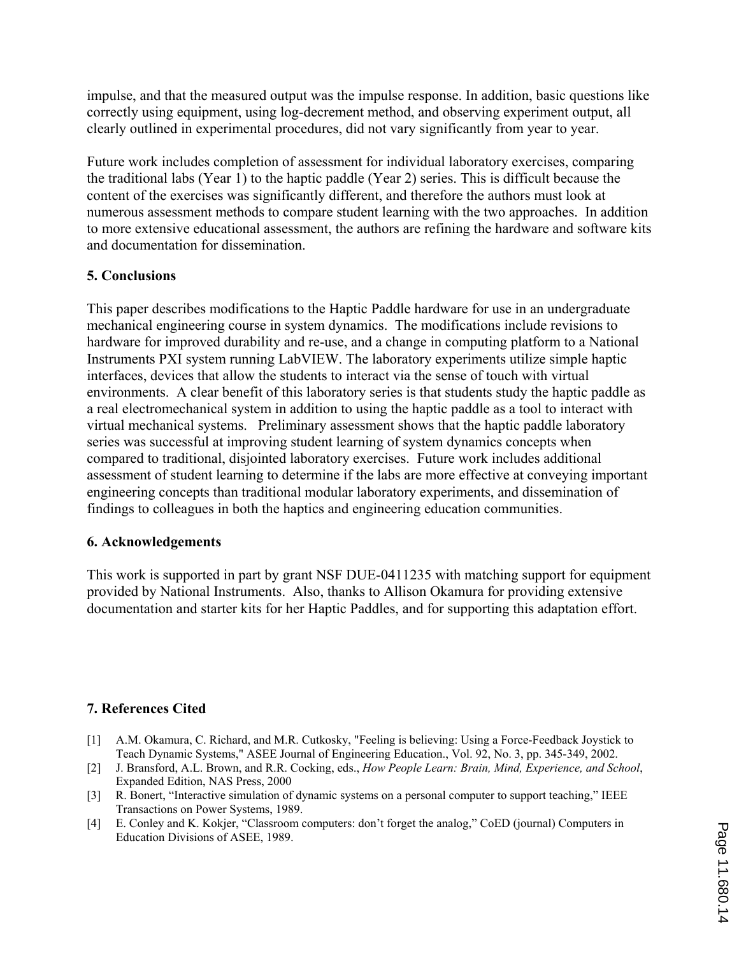impulse, and that the measured output was the impulse response. In addition, basic questions like correctly using equipment, using log-decrement method, and observing experiment output, all clearly outlined in experimental procedures, did not vary significantly from year to year.

Future work includes completion of assessment for individual laboratory exercises, comparing the traditional labs (Year 1) to the haptic paddle (Year 2) series. This is difficult because the content of the exercises was significantly different, and therefore the authors must look at numerous assessment methods to compare student learning with the two approaches. In addition to more extensive educational assessment, the authors are refining the hardware and software kits and documentation for dissemination.

## **5. Conclusions**

This paper describes modifications to the Haptic Paddle hardware for use in an undergraduate mechanical engineering course in system dynamics. The modifications include revisions to hardware for improved durability and re-use, and a change in computing platform to a National Instruments PXI system running LabVIEW. The laboratory experiments utilize simple haptic interfaces, devices that allow the students to interact via the sense of touch with virtual environments. A clear benefit of this laboratory series is that students study the haptic paddle as a real electromechanical system in addition to using the haptic paddle as a tool to interact with virtual mechanical systems. Preliminary assessment shows that the haptic paddle laboratory series was successful at improving student learning of system dynamics concepts when compared to traditional, disjointed laboratory exercises. Future work includes additional assessment of student learning to determine if the labs are more effective at conveying important engineering concepts than traditional modular laboratory experiments, and dissemination of findings to colleagues in both the haptics and engineering education communities.

## **6. Acknowledgements**

This work is supported in part by grant NSF DUE-0411235 with matching support for equipment provided by National Instruments. Also, thanks to Allison Okamura for providing extensive documentation and starter kits for her Haptic Paddles, and for supporting this adaptation effort.

# **7. References Cited**

- [1] A.M. Okamura, C. Richard, and M.R. Cutkosky, "Feeling is believing: Using a Force-Feedback Joystick to Teach Dynamic Systems," ASEE Journal of Engineering Education., Vol. 92, No. 3, pp. 345-349, 2002.
- [2] J. Bransford, A.L. Brown, and R.R. Cocking, eds., *How People Learn: Brain, Mind, Experience, and School*, Expanded Edition, NAS Press, 2000
- [3] R. Bonert, "Interactive simulation of dynamic systems on a personal computer to support teaching," IEEE Transactions on Power Systems, 1989.
- [4] E. Conley and K. Kokjer, "Classroom computers: don't forget the analog," CoED (journal) Computers in Education Divisions of ASEE, 1989.